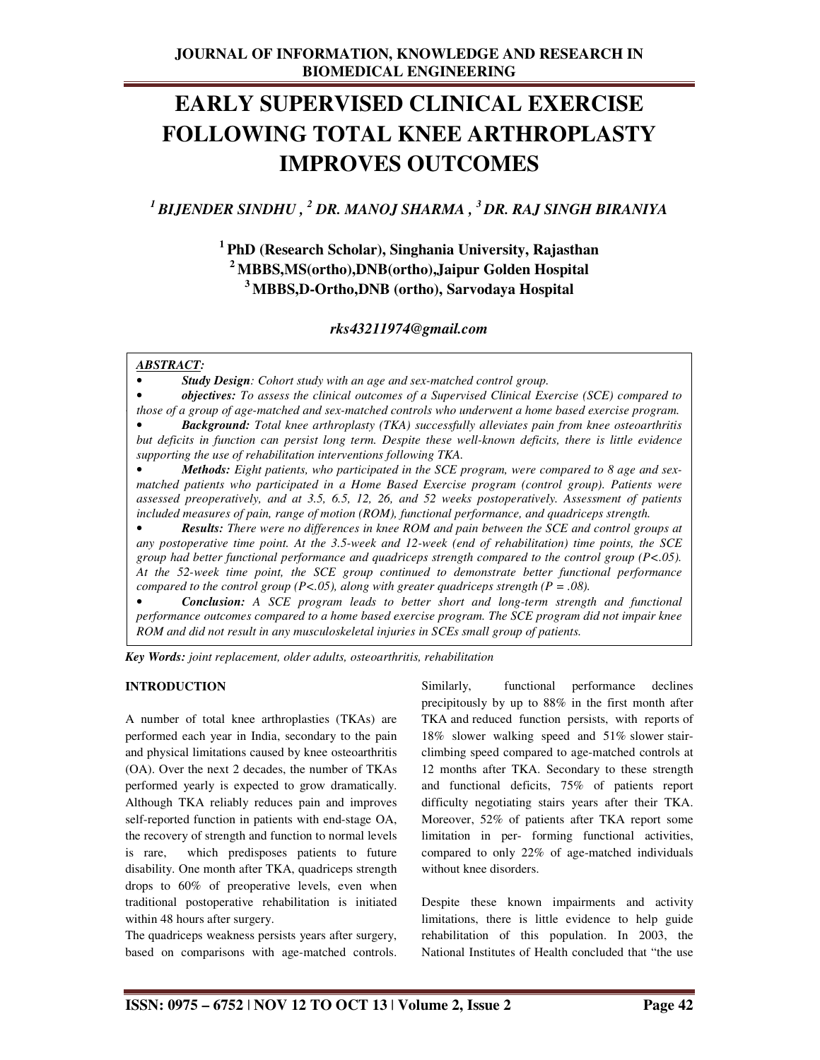# **EARLY SUPERVISED CLINICAL EXERCISE FOLLOWING TOTAL KNEE ARTHROPLASTY IMPROVES OUTCOMES**

*<sup>1</sup>BIJENDER SINDHU , <sup>2</sup> DR. MANOJ SHARMA , <sup>3</sup>DR. RAJ SINGH BIRANIYA* 

**<sup>1</sup>PhD (Research Scholar), Singhania University, Rajasthan <sup>2</sup>MBBS,MS(ortho),DNB(ortho),Jaipur Golden Hospital <sup>3</sup>MBBS,D-Ortho,DNB (ortho), Sarvodaya Hospital** 

*rks43211974@gmail.com* 

#### *ABSTRACT:*

.

• *Study Design: Cohort study with an age and sex-matched control group.* 

• *objectives: To assess the clinical outcomes of a Supervised Clinical Exercise (SCE) compared to those of a group of age-matched and sex-matched controls who underwent a home based exercise program.* 

• *Background: Total knee arthroplasty (TKA) successfully alleviates pain from knee osteoarthritis but deficits in function can persist long term. Despite these well-known deficits, there is little evidence supporting the use of rehabilitation interventions following TKA.* 

• *Methods: Eight patients, who participated in the SCE program, were compared to 8 age and sexmatched patients who participated in a Home Based Exercise program (control group). Patients were assessed preoperatively, and at 3.5, 6.5, 12, 26, and 52 weeks postoperatively. Assessment of patients included measures of pain, range of motion (ROM), functional performance, and quadriceps strength.* 

• *Results: There were no differences in knee ROM and pain between the SCE and control groups at any postoperative time point. At the 3.5-week and 12-week (end of rehabilitation) time points, the SCE group had better functional performance and quadriceps strength compared to the control group (P<.05). At the 52-week time point, the SCE group continued to demonstrate better functional performance compared to the control group (P<.05), along with greater quadriceps strength (P = .08).* 

• *Conclusion: A SCE program leads to better short and long-term strength and functional performance outcomes compared to a home based exercise program. The SCE program did not impair knee ROM and did not result in any musculoskeletal injuries in SCEs small group of patients.* 

*Key Words: joint replacement, older adults, osteoarthritis, rehabilitation*

#### **INTRODUCTION**

A number of total knee arthroplasties (TKAs) are performed each year in India, secondary to the pain and physical limitations caused by knee osteoarthritis (OA). Over the next 2 decades, the number of TKAs performed yearly is expected to grow dramatically. Although TKA reliably reduces pain and improves self-reported function in patients with end-stage OA, the recovery of strength and function to normal levels is rare, which predisposes patients to future disability. One month after TKA, quadriceps strength drops to 60% of preoperative levels, even when traditional postoperative rehabilitation is initiated within 48 hours after surgery.

The quadriceps weakness persists years after surgery, based on comparisons with age-matched controls.

Similarly, functional performance declines precipitously by up to 88% in the first month after TKA and reduced function persists, with reports of 18% slower walking speed and 51% slower stairclimbing speed compared to age-matched controls at 12 months after TKA. Secondary to these strength and functional deficits, 75% of patients report difficulty negotiating stairs years after their TKA. Moreover, 52% of patients after TKA report some limitation in per- forming functional activities, compared to only 22% of age-matched individuals without knee disorders.

Despite these known impairments and activity limitations, there is little evidence to help guide rehabilitation of this population. In 2003, the National Institutes of Health concluded that "the use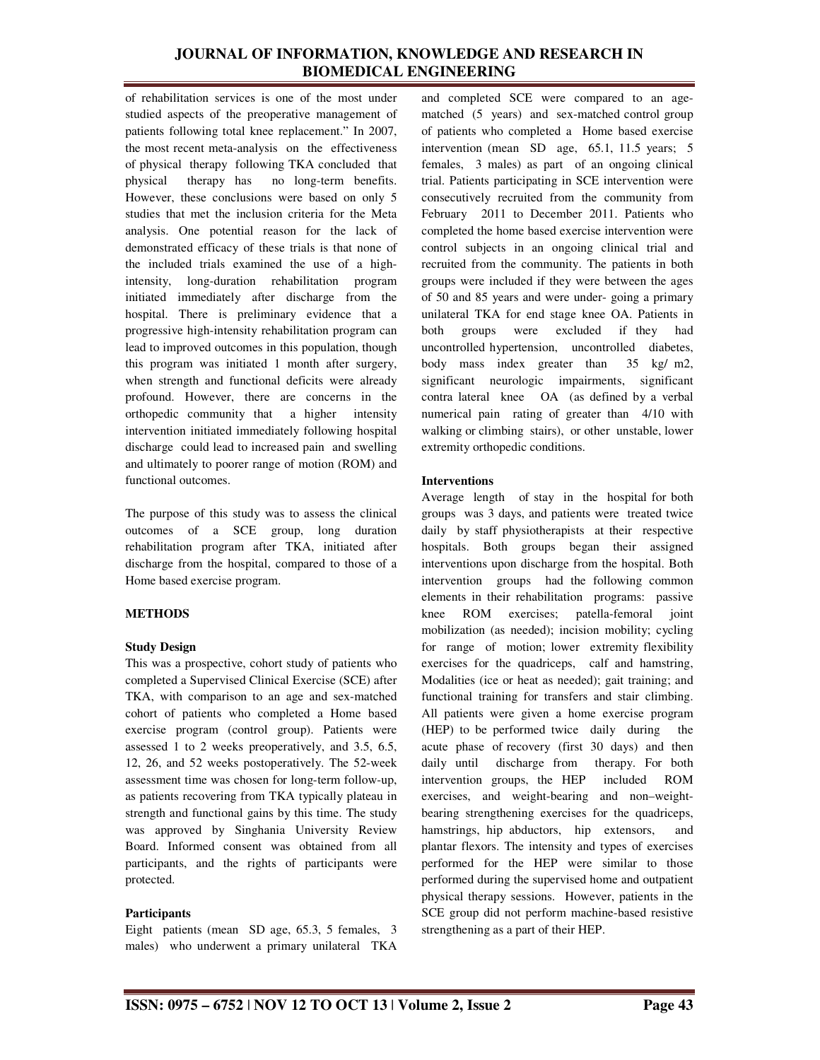of rehabilitation services is one of the most under studied aspects of the preoperative management of patients following total knee replacement." In 2007, the most recent meta-analysis on the effectiveness of physical therapy following TKA concluded that physical therapy has no long-term benefits. However, these conclusions were based on only 5 studies that met the inclusion criteria for the Meta analysis. One potential reason for the lack of demonstrated efficacy of these trials is that none of the included trials examined the use of a highintensity, long-duration rehabilitation program initiated immediately after discharge from the hospital. There is preliminary evidence that a progressive high-intensity rehabilitation program can lead to improved outcomes in this population, though this program was initiated 1 month after surgery, when strength and functional deficits were already profound. However, there are concerns in the orthopedic community that a higher intensity intervention initiated immediately following hospital discharge could lead to increased pain and swelling and ultimately to poorer range of motion (ROM) and functional outcomes.

The purpose of this study was to assess the clinical outcomes of a SCE group, long duration rehabilitation program after TKA, initiated after discharge from the hospital, compared to those of a Home based exercise program.

## **METHODS**

## **Study Design**

This was a prospective, cohort study of patients who completed a Supervised Clinical Exercise (SCE) after TKA, with comparison to an age and sex-matched cohort of patients who completed a Home based exercise program (control group). Patients were assessed 1 to 2 weeks preoperatively, and 3.5, 6.5, 12, 26, and 52 weeks postoperatively. The 52-week assessment time was chosen for long-term follow-up, as patients recovering from TKA typically plateau in strength and functional gains by this time. The study was approved by Singhania University Review Board. Informed consent was obtained from all participants, and the rights of participants were protected.

## **Participants**

Eight patients (mean SD age, 65.3, 5 females, 3 males) who underwent a primary unilateral TKA and completed SCE were compared to an agematched (5 years) and sex-matched control group of patients who completed a Home based exercise intervention (mean SD age, 65.1, 11.5 years; 5 females, 3 males) as part of an ongoing clinical trial. Patients participating in SCE intervention were consecutively recruited from the community from February 2011 to December 2011. Patients who completed the home based exercise intervention were control subjects in an ongoing clinical trial and recruited from the community. The patients in both groups were included if they were between the ages of 50 and 85 years and were under- going a primary unilateral TKA for end stage knee OA. Patients in both groups were excluded if they had uncontrolled hypertension, uncontrolled diabetes, body mass index greater than 35 kg/ m2, significant neurologic impairments, significant contra lateral knee OA (as defined by a verbal numerical pain rating of greater than 4/10 with walking or climbing stairs), or other unstable, lower extremity orthopedic conditions.

#### **Interventions**

Average length of stay in the hospital for both groups was 3 days, and patients were treated twice daily by staff physiotherapists at their respective hospitals. Both groups began their assigned interventions upon discharge from the hospital. Both intervention groups had the following common elements in their rehabilitation programs: passive knee ROM exercises; patella-femoral joint mobilization (as needed); incision mobility; cycling for range of motion; lower extremity flexibility exercises for the quadriceps, calf and hamstring, Modalities (ice or heat as needed); gait training; and functional training for transfers and stair climbing. All patients were given a home exercise program (HEP) to be performed twice daily during the acute phase of recovery (first 30 days) and then daily until discharge from therapy. For both intervention groups, the HEP included ROM exercises, and weight-bearing and non–weightbearing strengthening exercises for the quadriceps, hamstrings, hip abductors, hip extensors, and plantar flexors. The intensity and types of exercises performed for the HEP were similar to those performed during the supervised home and outpatient physical therapy sessions. However, patients in the SCE group did not perform machine-based resistive strengthening as a part of their HEP.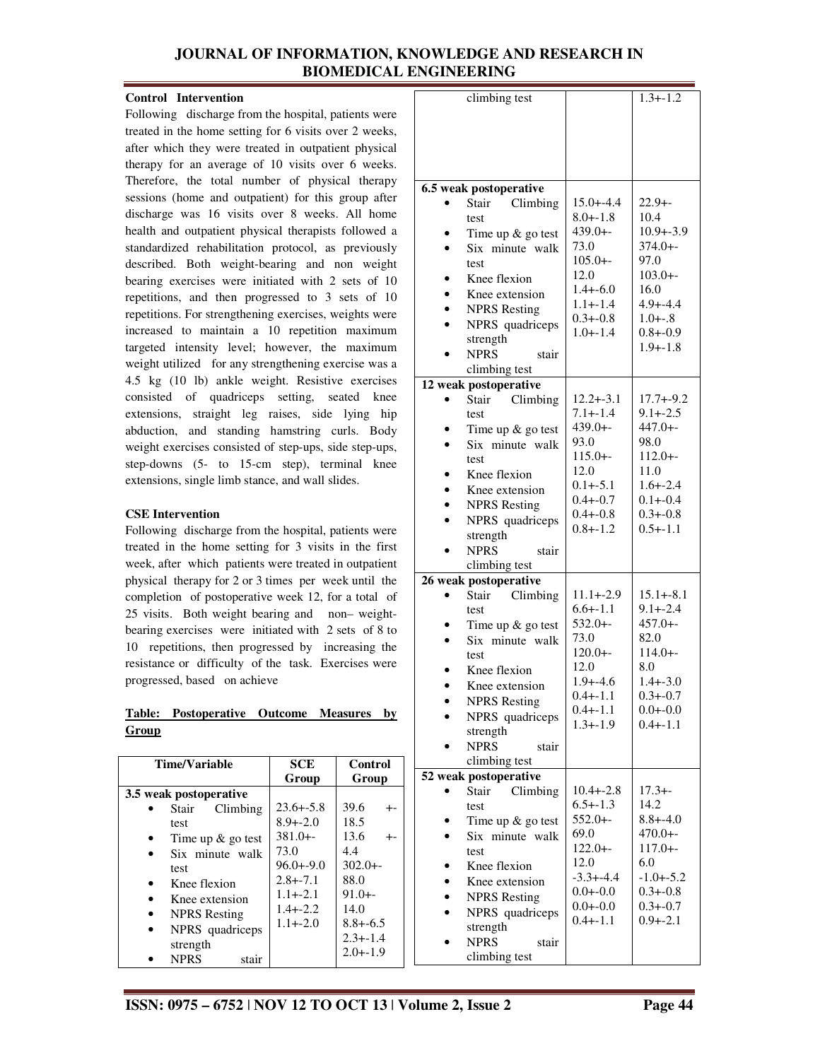## **Control Intervention**

Following discharge from the hospital, patients were treated in the home setting for 6 visits over 2 weeks, after which they were treated in outpatient physical therapy for an average of 10 visits over 6 weeks. Therefore, the total number of physical therapy sessions (home and outpatient) for this group after discharge was 16 visits over 8 weeks. All home health and outpatient physical therapists followed a standardized rehabilitation protocol, as previously described. Both weight-bearing and non weight bearing exercises were initiated with 2 sets of 10 repetitions, and then progressed to 3 sets of 10 repetitions. For strengthening exercises, weights were increased to maintain a 10 repetition maximum targeted intensity level; however, the maximum weight utilized for any strengthening exercise was a 4.5 kg (10 lb) ankle weight. Resistive exercises consisted of quadriceps setting, seated knee extensions, straight leg raises, side lying hip abduction, and standing hamstring curls. Body weight exercises consisted of step-ups, side step-ups, step-downs (5- to 15-cm step), terminal knee extensions, single limb stance, and wall slides.

## **CSE Intervention**

Following discharge from the hospital, patients were treated in the home setting for 3 visits in the first week, after which patients were treated in outpatient physical therapy for 2 or 3 times per week until the completion of postoperative week 12, for a total of 25 visits. Both weight bearing and non– weightbearing exercises were initiated with 2 sets of 8 to 10 repetitions, then progressed by increasing the resistance or difficulty of the task. Exercises were progressed, based on achieve

## **Table: Postoperative Outcome Measures by Group**

| <b>Time/Variable</b>   | <b>SCE</b>    | Control      |
|------------------------|---------------|--------------|
|                        | Group         | Group        |
| 3.5 weak postoperative |               |              |
| Climbing<br>Stair      | $23.6 + -5.8$ | 39.6         |
| test                   | $8.9 + -2.0$  | 18.5         |
| Time up $\&$ go test   | $381.0 + -$   | 13.6<br>+-   |
| Six minute walk        | 73.0          | 4.4          |
| test                   | $96.0 + -9.0$ | $302.0 + -$  |
| Knee flexion           | $2.8 + -7.1$  | 88.0         |
| Knee extension         | $1.1 + -2.1$  | $91.0 + -$   |
| <b>NPRS</b> Resting    | $1.4 + -2.2$  | 14.0         |
| NPRS quadriceps        | $1.1 + -2.0$  | $8.8 + -6.5$ |
| strength               |               | $2.3 + -1.4$ |
|                        |               | $2.0 + -1.9$ |
| <b>NPRS</b><br>stair   |               |              |

| climbing test                          |                               | $1.3 + -1.2$                  |
|----------------------------------------|-------------------------------|-------------------------------|
|                                        |                               |                               |
|                                        |                               |                               |
|                                        |                               |                               |
|                                        |                               |                               |
|                                        |                               |                               |
| 6.5 weak postoperative                 |                               |                               |
| Climbing<br>Stair                      | $15.0 + -4.4$                 | $22.9 + -$                    |
| test                                   | $8.0 + -1.8$                  | 10.4                          |
| Time up & go test                      | $439.0 + -$                   | $10.9 + -3.9$                 |
| Six minute walk                        | 73.0                          | $374.0 + -$                   |
| test                                   | $105.0 + -$                   | 97.0                          |
| Knee flexion                           | 12.0                          | $103.0 + -$                   |
| Knee extension                         | $1.4 + -6.0$                  | 16.0                          |
| <b>NPRS</b> Resting                    | $1.1 + -1.4$                  | $4.9 + -4.4$                  |
| NPRS quadriceps                        | $0.3 + -0.8$                  | $1.0 + -.8$                   |
| strength                               | $1.0 + -1.4$                  | $0.8 + -0.9$                  |
| <b>NPRS</b><br>stair                   |                               | $1.9 + -1.8$                  |
| climbing test                          |                               |                               |
| 12 weak postoperative                  |                               |                               |
| Stair Climbing                         | $12.2 + -3.1$                 | $17.7 + -9.2$                 |
| test                                   | $7.1 + -1.4$                  | $9.1 + -2.5$                  |
| Time up $&$ go test                    | $439.0 + -$                   | $447.0 + -$                   |
| Six minute walk                        | 93.0                          | 98.0                          |
| test                                   | $115.0 + -$                   | $112.0 + -$                   |
| Knee flexion                           | 12.0                          | 11.0                          |
| Knee extension                         | $0.1 + -5.1$                  | $1.6 + -2.4$                  |
|                                        | $0.4 + -0.7$                  | $0.1 + -0.4$                  |
| <b>NPRS</b> Resting<br>$\bullet$       | $0.4 + -0.8$                  | $0.3 + -0.8$                  |
| NPRS quadriceps                        | $0.8 + -1.2$                  | $0.5 + -1.1$                  |
| strength                               |                               |                               |
| <b>NPRS</b><br>stair                   |                               |                               |
| climbing test                          |                               |                               |
| 26 weak postoperative                  |                               |                               |
| Climbing<br>Stair                      | $11.1 + -2.9$<br>$6.6 + -1.1$ | $15.1 + -8.1$<br>$9.1 + -2.4$ |
| test                                   | $532.0 + -$                   | $457.0 + -$                   |
| Time up $&$ go test<br>Six minute walk | 73.0                          | 82.0                          |
|                                        | $120.0 + -$                   | $114.0 + -$                   |
| test<br>Knee flexion                   | 12.0                          | 8.0                           |
|                                        | $1.9 + -4.6$                  | $1.4 + -3.0$                  |
| Knee extension                         | $0.4 + -1.1$                  | $0.3 + -0.7$                  |
| <b>NPRS</b> Resting                    | $0.4 + -1.1$                  | $0.0 + -0.0$                  |
| NPRS quadriceps                        | $1.3 + -1.9$                  | $0.4 + -1.1$                  |
| strength                               |                               |                               |
| <b>NPRS</b><br>stair                   |                               |                               |
| climbing test                          |                               |                               |
| 52 weak postoperative                  |                               |                               |
| Climbing<br>Stair                      | $10.4 + -2.8$<br>$6.5 + -1.3$ | $17.3 + -$<br>14.2            |
| test                                   | $552.0 + -$                   | $8.8 + -4.0$                  |
| Time up $&$ go test                    | 69.0                          | $470.0 + -$                   |
| Six minute walk                        | $122.0 + -$                   | $117.0 + -$                   |
| test                                   | 12.0                          | 6.0                           |
| Knee flexion                           | $-3.3 + -4.4$                 | $-1.0 + -5.2$                 |
| Knee extension                         | $0.0 + -0.0$                  | $0.3 + -0.8$                  |
| <b>NPRS Resting</b>                    | $0.0 + -0.0$                  | $0.3 + -0.7$                  |
| NPRS quadriceps                        | $0.4 + -1.1$                  | $0.9 + -2.1$                  |
| strength                               |                               |                               |
| <b>NPRS</b><br>stair                   |                               |                               |
| climbing test                          |                               |                               |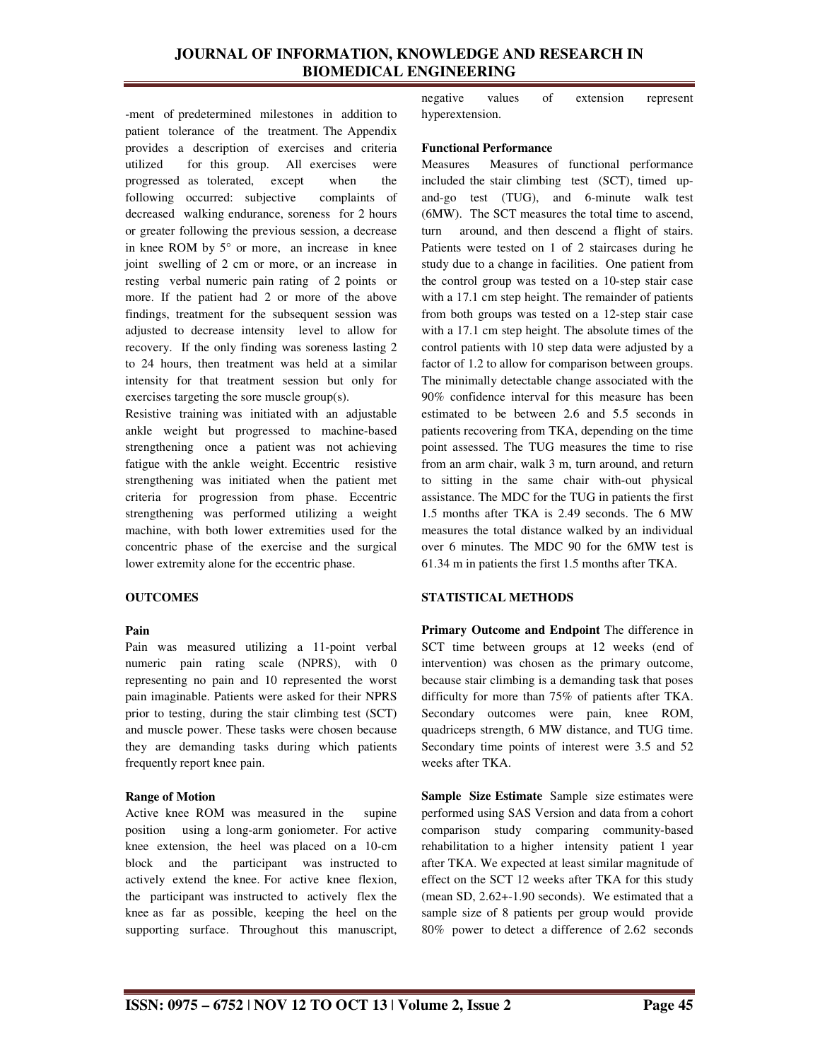-ment of predetermined milestones in addition to patient tolerance of the treatment. The Appendix provides a description of exercises and criteria utilized for this group. All exercises were progressed as tolerated, except when the following occurred: subjective complaints of decreased walking endurance, soreness for 2 hours or greater following the previous session, a decrease in knee ROM by 5° or more, an increase in knee joint swelling of 2 cm or more, or an increase in resting verbal numeric pain rating of 2 points or more. If the patient had 2 or more of the above findings, treatment for the subsequent session was adjusted to decrease intensity level to allow for recovery. If the only finding was soreness lasting 2 to 24 hours, then treatment was held at a similar intensity for that treatment session but only for exercises targeting the sore muscle group(s).

Resistive training was initiated with an adjustable ankle weight but progressed to machine-based strengthening once a patient was not achieving fatigue with the ankle weight. Eccentric resistive strengthening was initiated when the patient met criteria for progression from phase. Eccentric strengthening was performed utilizing a weight machine, with both lower extremities used for the concentric phase of the exercise and the surgical lower extremity alone for the eccentric phase.

## **OUTCOMES**

#### **Pain**

Pain was measured utilizing a 11-point verbal numeric pain rating scale (NPRS), with 0 representing no pain and 10 represented the worst pain imaginable. Patients were asked for their NPRS prior to testing, during the stair climbing test (SCT) and muscle power. These tasks were chosen because they are demanding tasks during which patients frequently report knee pain.

#### **Range of Motion**

Active knee ROM was measured in the supine position using a long-arm goniometer. For active knee extension, the heel was placed on a 10-cm block and the participant was instructed to actively extend the knee. For active knee flexion, the participant was instructed to actively flex the knee as far as possible, keeping the heel on the supporting surface. Throughout this manuscript,

negative values of extension represent hyperextension.

#### **Functional Performance**

Measures Measures of functional performance included the stair climbing test (SCT), timed upand-go test (TUG), and 6-minute walk test (6MW). The SCT measures the total time to ascend, turn around, and then descend a flight of stairs. Patients were tested on 1 of 2 staircases during he study due to a change in facilities. One patient from the control group was tested on a 10-step stair case with a 17.1 cm step height. The remainder of patients from both groups was tested on a 12-step stair case with a 17.1 cm step height. The absolute times of the control patients with 10 step data were adjusted by a factor of 1.2 to allow for comparison between groups. The minimally detectable change associated with the 90% confidence interval for this measure has been estimated to be between 2.6 and 5.5 seconds in patients recovering from TKA, depending on the time point assessed. The TUG measures the time to rise from an arm chair, walk 3 m, turn around, and return to sitting in the same chair with-out physical assistance. The MDC for the TUG in patients the first 1.5 months after TKA is 2.49 seconds. The 6 MW measures the total distance walked by an individual over 6 minutes. The MDC 90 for the 6MW test is 61.34 m in patients the first 1.5 months after TKA.

## **STATISTICAL METHODS**

**Primary Outcome and Endpoint** The difference in SCT time between groups at 12 weeks (end of intervention) was chosen as the primary outcome, because stair climbing is a demanding task that poses difficulty for more than 75% of patients after TKA. Secondary outcomes were pain, knee ROM, quadriceps strength, 6 MW distance, and TUG time. Secondary time points of interest were 3.5 and 52 weeks after TKA.

**Sample Size Estimate** Sample size estimates were performed using SAS Version and data from a cohort comparison study comparing community-based rehabilitation to a higher intensity patient 1 year after TKA. We expected at least similar magnitude of effect on the SCT 12 weeks after TKA for this study (mean SD, 2.62+-1.90 seconds). We estimated that a sample size of 8 patients per group would provide 80% power to detect a difference of 2.62 seconds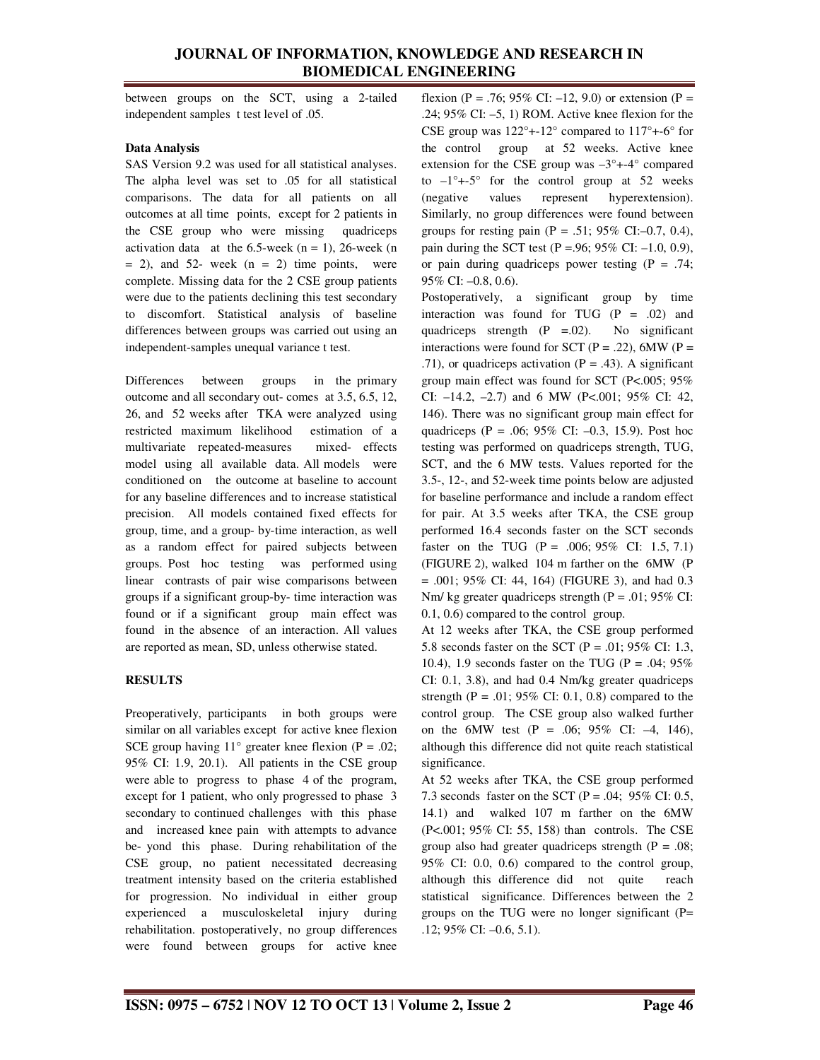between groups on the SCT, using a 2-tailed independent samples t test level of .05.

### **Data Analysis**

SAS Version 9.2 was used for all statistical analyses. The alpha level was set to .05 for all statistical comparisons. The data for all patients on all outcomes at all time points, except for 2 patients in the CSE group who were missing quadriceps activation data at the  $6.5$ -week  $(n = 1)$ , 26-week  $(n = 1)$  $= 2$ ), and 52- week (n  $= 2$ ) time points, were complete. Missing data for the 2 CSE group patients were due to the patients declining this test secondary to discomfort. Statistical analysis of baseline differences between groups was carried out using an independent-samples unequal variance t test.

Differences between groups in the primary outcome and all secondary out- comes at 3.5, 6.5, 12, 26, and 52 weeks after TKA were analyzed using restricted maximum likelihood estimation of a multivariate repeated-measures mixed- effects model using all available data. All models were conditioned on the outcome at baseline to account for any baseline differences and to increase statistical precision. All models contained fixed effects for group, time, and a group- by-time interaction, as well as a random effect for paired subjects between groups. Post hoc testing was performed using linear contrasts of pair wise comparisons between groups if a significant group-by- time interaction was found or if a significant group main effect was found in the absence of an interaction. All values are reported as mean, SD, unless otherwise stated.

# **RESULTS**

Preoperatively, participants in both groups were similar on all variables except for active knee flexion SCE group having  $11^{\circ}$  greater knee flexion (P = .02; 95% CI: 1.9, 20.1). All patients in the CSE group were able to progress to phase 4 of the program, except for 1 patient, who only progressed to phase 3 secondary to continued challenges with this phase and increased knee pain with attempts to advance be- yond this phase. During rehabilitation of the CSE group, no patient necessitated decreasing treatment intensity based on the criteria established for progression. No individual in either group experienced a musculoskeletal injury during rehabilitation. postoperatively, no group differences were found between groups for active knee

flexion (P = .76; 95% CI: –12, 9.0) or extension (P = .24; 95% CI: –5, 1) ROM. Active knee flexion for the CSE group was  $122^{\circ}$ +-12° compared to  $117^{\circ}$ +-6° for the control group at 52 weeks. Active knee extension for the CSE group was  $-3^{\circ}$ +-4° compared to  $-1^{\circ}$ +-5° for the control group at 52 weeks (negative values represent hyperextension). Similarly, no group differences were found between groups for resting pain (P = .51;  $95\%$  CI:–0.7, 0.4), pain during the SCT test (P =.96; 95% CI:  $-1.0$ , 0.9), or pain during quadriceps power testing  $(P = .74)$ ; 95% CI: –0.8, 0.6).

Postoperatively, a significant group by time interaction was found for TUG  $(P = .02)$  and quadriceps strength  $(P = .02)$ . No significant interactions were found for SCT ( $P = .22$ ), 6MW ( $P =$ .71), or quadriceps activation ( $P = .43$ ). A significant group main effect was found for SCT (P<.005; 95% CI: –14.2, –2.7) and 6 MW (P<.001; 95% CI: 42, 146). There was no significant group main effect for quadriceps (P = .06; 95% CI:  $-0.3$ , 15.9). Post hoc testing was performed on quadriceps strength, TUG, SCT, and the 6 MW tests. Values reported for the 3.5-, 12-, and 52-week time points below are adjusted for baseline performance and include a random effect for pair. At 3.5 weeks after TKA, the CSE group performed 16.4 seconds faster on the SCT seconds faster on the TUG (P = .006; 95% CI: 1.5, 7.1) (FIGURE 2), walked 104 m farther on the 6MW (P  $= .001$ ; 95% CI: 44, 164) (FIGURE 3), and had 0.3 Nm/ kg greater quadriceps strength ( $P = .01$ ; 95% CI: 0.1, 0.6) compared to the control group.

At 12 weeks after TKA, the CSE group performed 5.8 seconds faster on the SCT ( $P = .01$ ; 95% CI: 1.3, 10.4), 1.9 seconds faster on the TUG ( $P = .04$ ; 95% CI: 0.1, 3.8), and had 0.4 Nm/kg greater quadriceps strength (P = .01; 95% CI: 0.1, 0.8) compared to the control group. The CSE group also walked further on the 6MW test  $(P = .06; 95\% \text{ CI: } -4, 146)$ , although this difference did not quite reach statistical significance.

At 52 weeks after TKA, the CSE group performed 7.3 seconds faster on the SCT ( $P = .04$ ; 95% CI: 0.5, 14.1) and walked 107 m farther on the 6MW (P<.001; 95% CI: 55, 158) than controls. The CSE group also had greater quadriceps strength ( $P = .08$ ; 95% CI: 0.0, 0.6) compared to the control group, although this difference did not quite reach statistical significance. Differences between the 2 groups on the TUG were no longer significant  $(P=$ .12; 95% CI: –0.6, 5.1).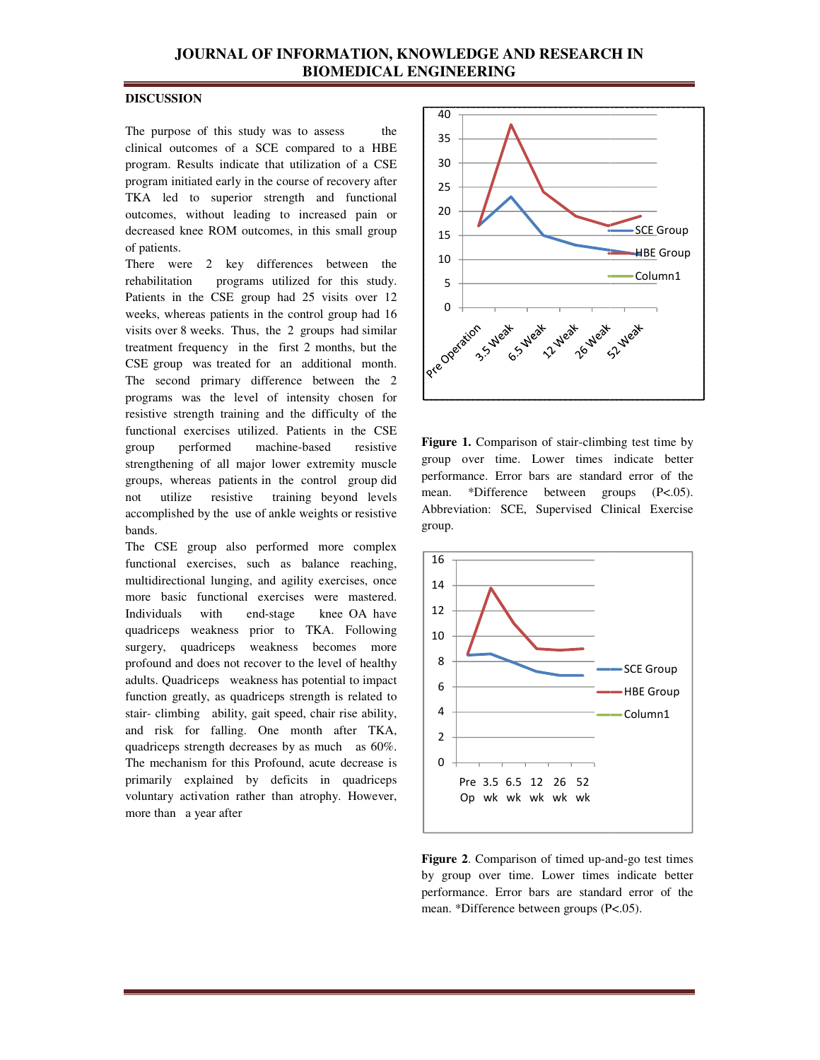# **JOURNAL OF INFORMATION, KNOWLEDGE AND RESEARCH IN<br>BIOMEDICAL ENGINEERING BIOMEDICAL ENGINEERING**

## **DISCUSSION**

The purpose of this study was to assess the The purpose of this study was to assess the clinical outcomes of a SCE compared to a HBE program. Results indicate that utilization of a CSE program. Results indicate that utilization of a CSE<br>program initiated early in the course of recovery after TKA led to superior strength and functional outcomes, without leading to increased pain or decreased knee ROM outcomes, in this small group of patients. A led to superior strength and functional<br>comes, without leading to increased pain or<br>reased knee ROM outcomes, in this small group<br>patients.<br>ere were 2 key differences between the

There were 2 key differences between the rehabilitation programs utilized for this study. Patients in the CSE group had 25 visits over 12 weeks, whereas patients in the control group had 16 visits over 8 weeks. Thus, the 2 groups had similar treatment frequency in the first 2 months, but the CSE group was treated for an additional month. The second primary difference between the 2 programs was the level of intensity chosen for resistive strength training and the difficulty o functional exercises utilized. Patients in the CSE group performed machine-based strengthening of all major lower extremity muscle groups, whereas patients in the control group did not utilize resistive training beyond levels accomplished by the use of ankle weights or resistive bands. the 2 groups had similar<br>the first 2 months, but the<br>or an additional month.<br>fference between the 2<br>of intensity chosen for<br>and the difficulty of the resistive major lower extremity muscle<br>ents in the control group did<br>tive training beyond levels<br>use of ankle weights or resistive<br>so performed more complex

The CSE group also performed more complex functional exercises, such as balance reaching, multidirectional lunging, and agility exercises, once more basic functional exercises were mastered. Individuals with end-stage knee OA have Individuals with end-stage knee-OA-have<br>quadriceps weakness prior to TKA. Following surgery, quadriceps weakness becomes more profound and does not recover to the level of healthy adults. Quadriceps weakness has potential to impact function greatly, as quadriceps strength is related to stair- climbing ability, gait speed, chair rise ability, and risk for falling. One month after TKA, quadriceps strength decreases by as much as 60%. The mechanism for this Profound, acute decrease is primarily explained by deficits in quadriceps voluntary activation rather than atrophy. However, more than a year after ses, such as balance reaching,<br>unging, and agility exercises, once<br>tional exercises were mastered.



**Figure 1.** Comparison of stair-climbing test time by group over time. Lower times indicate better performance. Error bars are standard error of the mean. \*Difference between groups (P<.05). Abbreviation: SCE, Supervised Clinical Exercise group.



Figure 2. Comparison of timed up-and-go test times by group over time. Lower times indicate better performance. Error bars are standard error of the mean. \*Difference between groups (P<.05).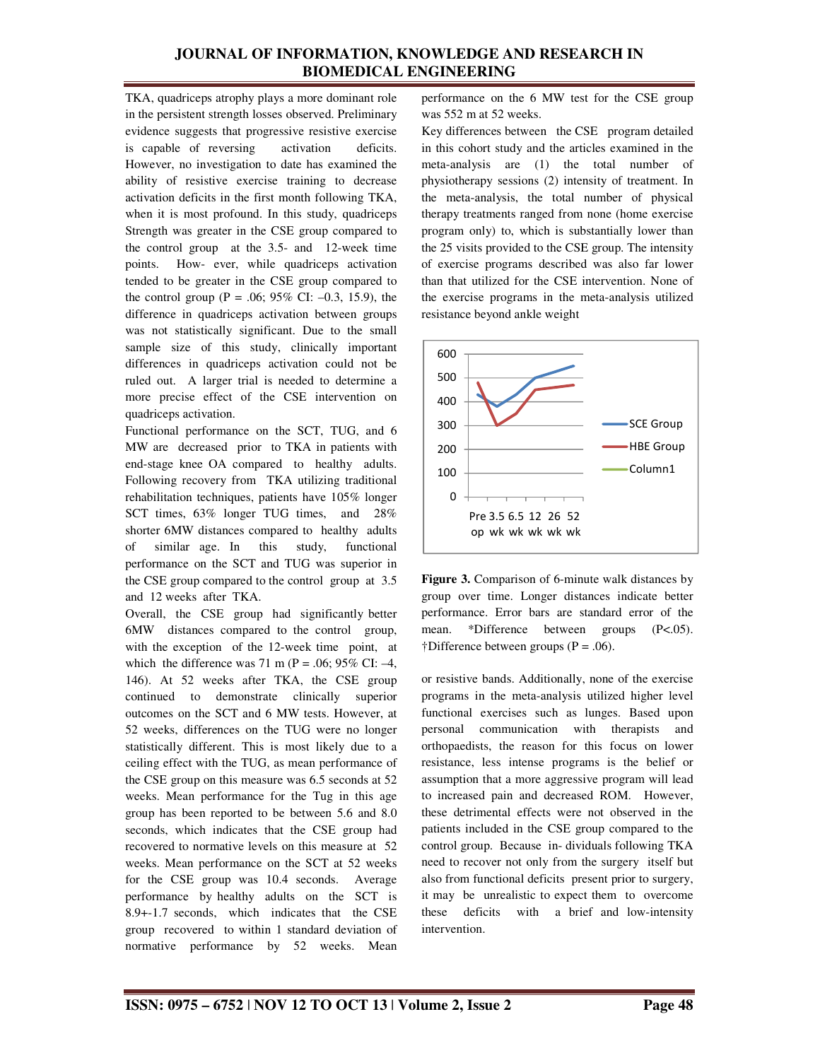TKA, quadriceps atrophy plays a more dominant role in the persistent strength losses observed. Preliminary evidence suggests that progressive resistive exercise is capable of reversing activation deficits. However, no investigation to date has examined the ability of resistive exercise training to decrease activation deficits in the first month following TKA, when it is most profound. In this study, quadriceps Strength was greater in the CSE group compared to the control group at the 3.5- and 12-week time points. How- ever, while quadriceps activation tended to be greater in the CSE group compared to the control group (P = .06; 95% CI:  $-0.3$ , 15.9), the difference in quadriceps activation between groups was not statistically significant. Due to the small sample size of this study, clinically important differences in quadriceps activation could not be ruled out. A larger trial is needed to determine a more precise effect of the CSE intervention on quadriceps activation.

Functional performance on the SCT, TUG, and 6 MW are decreased prior to TKA in patients with end-stage knee OA compared to healthy adults. Following recovery from TKA utilizing traditional rehabilitation techniques, patients have 105% longer SCT times, 63% longer TUG times, and 28% shorter 6MW distances compared to healthy adults of similar age. In this study, functional performance on the SCT and TUG was superior in the CSE group compared to the control group at 3.5 and 12 weeks after TKA.

Overall, the CSE group had significantly better 6MW distances compared to the control group, with the exception of the 12-week time point, at which the difference was 71 m ( $P = .06$ ; 95% CI: -4, 146). At 52 weeks after TKA, the CSE group continued to demonstrate clinically superior outcomes on the SCT and 6 MW tests. However, at 52 weeks, differences on the TUG were no longer statistically different. This is most likely due to a ceiling effect with the TUG, as mean performance of the CSE group on this measure was 6.5 seconds at 52 weeks. Mean performance for the Tug in this age group has been reported to be between 5.6 and 8.0 seconds, which indicates that the CSE group had recovered to normative levels on this measure at 52 weeks. Mean performance on the SCT at 52 weeks for the CSE group was 10.4 seconds. Average performance by healthy adults on the SCT is 8.9+-1.7 seconds, which indicates that the CSE group recovered to within 1 standard deviation of normative performance by 52 weeks. Mean

performance on the 6 MW test for the CSE group was 552 m at 52 weeks.

Key differences between the CSE program detailed in this cohort study and the articles examined in the meta-analysis are (1) the total number of physiotherapy sessions (2) intensity of treatment. In the meta-analysis, the total number of physical therapy treatments ranged from none (home exercise program only) to, which is substantially lower than the 25 visits provided to the CSE group. The intensity of exercise programs described was also far lower than that utilized for the CSE intervention. None of the exercise programs in the meta-analysis utilized resistance beyond ankle weight



**Figure 3.** Comparison of 6-minute walk distances by group over time. Longer distances indicate better performance. Error bars are standard error of the mean. \*Difference between groups (P<.05). †Difference between groups (P = .06).

or resistive bands. Additionally, none of the exercise programs in the meta-analysis utilized higher level functional exercises such as lunges. Based upon personal communication with therapists and orthopaedists, the reason for this focus on lower resistance, less intense programs is the belief or assumption that a more aggressive program will lead to increased pain and decreased ROM. However, these detrimental effects were not observed in the patients included in the CSE group compared to the control group. Because in- dividuals following TKA need to recover not only from the surgery itself but also from functional deficits present prior to surgery, it may be unrealistic to expect them to overcome these deficits with a brief and low-intensity intervention.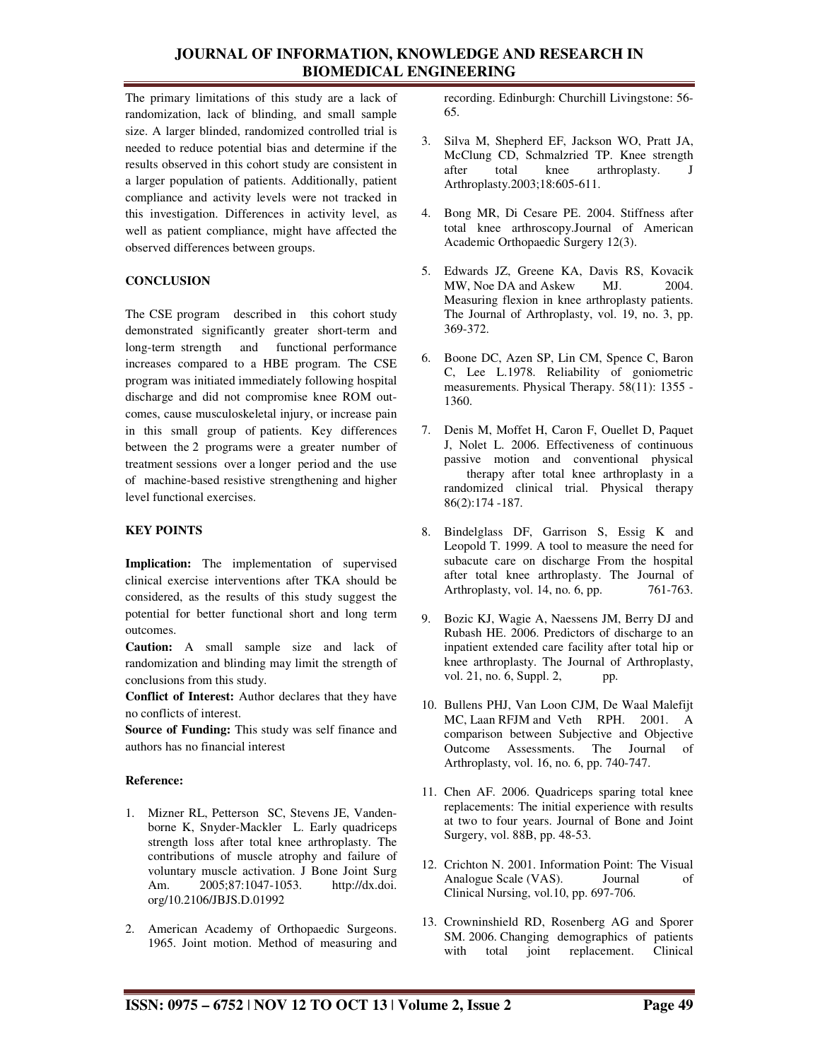The primary limitations of this study are a lack of randomization, lack of blinding, and small sample size. A larger blinded, randomized controlled trial is needed to reduce potential bias and determine if the results observed in this cohort study are consistent in a larger population of patients. Additionally, patient compliance and activity levels were not tracked in this investigation. Differences in activity level, as well as patient compliance, might have affected the observed differences between groups.

## **CONCLUSION**

The CSE program described in this cohort study demonstrated significantly greater short-term and long-term strength and functional performance increases compared to a HBE program. The CSE program was initiated immediately following hospital discharge and did not compromise knee ROM outcomes, cause musculoskeletal injury, or increase pain in this small group of patients. Key differences between the 2 programs were a greater number of treatment sessions over a longer period and the use of machine-based resistive strengthening and higher level functional exercises.

# **KEY POINTS**

**Implication:** The implementation of supervised clinical exercise interventions after TKA should be considered, as the results of this study suggest the potential for better functional short and long term outcomes.

**Caution:** A small sample size and lack of randomization and blinding may limit the strength of conclusions from this study.

**Conflict of Interest:** Author declares that they have no conflicts of interest.

**Source of Funding:** This study was self finance and authors has no financial interest

## **Reference:**

- 1. Mizner RL, Petterson SC, Stevens JE, Vandenborne K, Snyder-Mackler L. Early quadriceps strength loss after total knee arthroplasty. The contributions of muscle atrophy and failure of voluntary muscle activation. J Bone Joint Surg Am. 2005;87:1047-1053. http://dx.doi. org/10.2106/JBJS.D.01992
- 2. American Academy of Orthopaedic Surgeons. 1965. Joint motion. Method of measuring and

recording. Edinburgh: Churchill Livingstone: 56- 65.

- 3. Silva M, Shepherd EF, Jackson WO, Pratt JA, McClung CD, Schmalzried TP. Knee strength<br>after total knee arthroplasty. J arthroplasty. J Arthroplasty.2003;18:605-611.
- 4. Bong MR, Di Cesare PE. 2004. Stiffness after total knee arthroscopy.Journal of American Academic Orthopaedic Surgery 12(3).
- 5. Edwards JZ, Greene KA, Davis RS, Kovacik MW, Noe DA and Askew MJ. 2004. Measuring flexion in knee arthroplasty patients. The Journal of Arthroplasty, vol. 19, no. 3, pp. 369-372.
- 6. Boone DC, Azen SP, Lin CM, Spence C, Baron C, Lee L.1978. Reliability of goniometric measurements. Physical Therapy. 58(11): 1355 - 1360.
- 7. Denis M, Moffet H, Caron F, Ouellet D, Paquet J, Nolet L. 2006. Effectiveness of continuous passive motion and conventional physical therapy after total knee arthroplasty in a randomized clinical trial. Physical therapy 86(2):174 -187.
- 8. Bindelglass DF, Garrison S, Essig K and Leopold T. 1999. A tool to measure the need for subacute care on discharge From the hospital after total knee arthroplasty. The Journal of Arthroplasty, vol. 14, no. 6, pp. 761-763.
- 9. Bozic KJ, Wagie A, Naessens JM, Berry DJ and Rubash HE. 2006. Predictors of discharge to an inpatient extended care facility after total hip or knee arthroplasty. The Journal of Arthroplasty, vol.  $21$ , no.  $6$ , Suppl.  $2$ , pp.
- 10. Bullens PHJ, Van Loon CJM, De Waal Malefijt MC, Laan RFJM and Veth RPH. 2001. A comparison between Subjective and Objective Outcome Assessments. The Journal of Arthroplasty, vol. 16, no. 6, pp. 740-747.
- 11. Chen AF. 2006. Quadriceps sparing total knee replacements: The initial experience with results at two to four years. Journal of Bone and Joint Surgery, vol. 88B, pp. 48-53.
- 12. Crichton N. 2001. Information Point: The Visual Analogue Scale (VAS). Journal of Clinical Nursing, vol.10, pp. 697-706.
- 13. Crowninshield RD, Rosenberg AG and Sporer SM. 2006. Changing demographics of patients with total joint replacement. Clinical